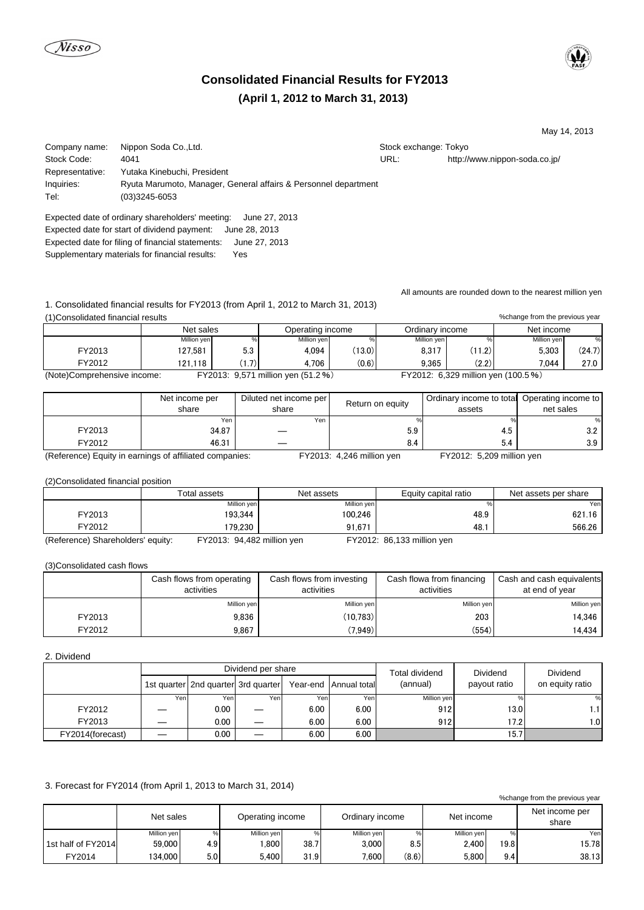# **Consolidated Financial Results for FY2013 (April 1, 2012 to March 31, 2013)**

May 14, 2013

Company name: Nippon Soda Co.,Ltd. Stock exchange: Tokyo Stock exchange: Tokyo Stock Code: 4041 URL: http://www.nippon-soda.co.jp/ Representative: Yutaka Kinebuchi, President Inquiries: Ryuta Marumoto, Manager, General affairs & Personnel department Tel: (03)3245-6053

Expected date of ordinary shareholders' meeting: June 27, 2013 Expected date for start of dividend payment: June 28, 2013 Expected date for filing of financial statements: June 27, 2013 Supplementary materials for financial results: Yes

All amounts are rounded down to the nearest million yen

1. Consolidated financial results for FY2013 (from April 1, 2012 to March 31, 2013)

(1)Consolidated financial results

|                             |                                    | Net sales<br>Operating income |             |        | Ordinarv income | Net income                          |             |        |
|-----------------------------|------------------------------------|-------------------------------|-------------|--------|-----------------|-------------------------------------|-------------|--------|
|                             | Million yen                        |                               | Million yen |        | Million yen     |                                     | Million ven | %      |
| FY2013                      | 127.581                            | 5.3                           | 4.094       | (13.0) | 8.317           | (11.2)                              | 5.303       | (24.7) |
| FY2012                      | 121.118                            | (1.7)                         | 4.706       | (0.6)  | 9.365           | (2.2)                               | 7.044       | 27.0   |
| (Note)Comprehensive income: | FY2013: 9,571 million yen (51.2 %) |                               |             |        |                 | FY2012: 6,329 million yen (100.5 %) |             |        |

|                                                         | Net income per<br>share | Diluted net income per<br>share | Return on equity                        | Ordinary income to total Operating income to<br>assets | net sales |
|---------------------------------------------------------|-------------------------|---------------------------------|-----------------------------------------|--------------------------------------------------------|-----------|
|                                                         | Yen                     | Yen                             |                                         |                                                        | ℅         |
| FY2013                                                  | 34.87                   |                                 | 5.9                                     | 4.5                                                    | 3.2       |
| FY2012                                                  | 46.31                   |                                 | 8.4                                     | 5.4                                                    | 3.9       |
| (Deference) Equity in corpines of officiated componisor |                         |                                 | $TV2042.$ $\pm 240$ million $\sqrt{25}$ | $TV0040. E000$ million ush                             |           |

(Reference) Equity in earnings of affiliated companies: FY2013: 4,246 million yen FY2012: 5,209 million yen

(2)Consolidated financial position

|                                   | Total assets               | Net assets  | Equity capital ratio       | Net assets per share |
|-----------------------------------|----------------------------|-------------|----------------------------|----------------------|
|                                   | Million yen                | Million yen |                            | Yen                  |
| FY2013                            | 193.344                    | 100.246     | 48.9                       | 621.16               |
| FY2012                            | 179.230                    | 91.671      | 48.                        | 566.26               |
| (Reference) Shareholders' equity: | FY2013: 94,482 million yen |             | FY2012: 86,133 million yen |                      |

(3)Consolidated cash flows

|        | Cash flows from operating<br>activities | Cash flows from investing<br>activities | Cash flowa from financing<br>activities | Cash and cash equivalents<br>at end of year |  |
|--------|-----------------------------------------|-----------------------------------------|-----------------------------------------|---------------------------------------------|--|
|        | Million yen                             | Million yen                             | Million yen                             | Million yen                                 |  |
| FY2013 | 9.836                                   | (10.783)                                | 203                                     | 14.346                                      |  |
| FY2012 | 9,867                                   | (7, 949)                                | (554)                                   | 14.434 l                                    |  |

## 2. Dividend

|                  |      |                                     | Dividend per share |      | <b>Total dividend</b> | <b>Dividend</b> | <b>Dividend</b> |                  |
|------------------|------|-------------------------------------|--------------------|------|-----------------------|-----------------|-----------------|------------------|
|                  |      | 1st quarter 2nd quarter 3rd quarter |                    |      | Year-end Annual total | (annual)        | payout ratio    | on equity ratio  |
|                  | Yenl | Yenl                                | Yenl               | Yen. | Yen                   | Million yen     |                 | %                |
| FY2012           |      | 0.00                                |                    | 6.00 | 6.00                  | 912             | 13.0            | 1.1 <sup>1</sup> |
| FY2013           |      | 0.00                                |                    | 6.00 | 6.00                  | 912             | 17.2            | 1.0              |
| FY2014(forecast) |      | 0.00                                |                    | 6.00 | 6.00                  |                 | 15.7            |                  |

# 3. Forecast for FY2014 (from April 1, 2013 to March 31, 2014)

| % change from the previous year |             |     |                   |      |                 |       |             |      |                         |
|---------------------------------|-------------|-----|-------------------|------|-----------------|-------|-------------|------|-------------------------|
|                                 | Net sales   |     | Operating income  |      | Ordinary income |       | Net income  |      | Net income per<br>share |
|                                 | Million yen |     | Million yen       | %    | Million yen     |       | Million yen | %    | Yen                     |
| 1st half of FY2014              | 59,000      | 4.9 | .800 <sub>1</sub> | 38.7 | 3.000           | 8.5   | 2.400       | 19.8 | 15.78                   |
| FY2014                          | 134.000     | 5.0 | 5.400             | 31.9 | 7.600           | (8.6) | 5.800       | 9.4  | 38.13                   |

%change from the previous year